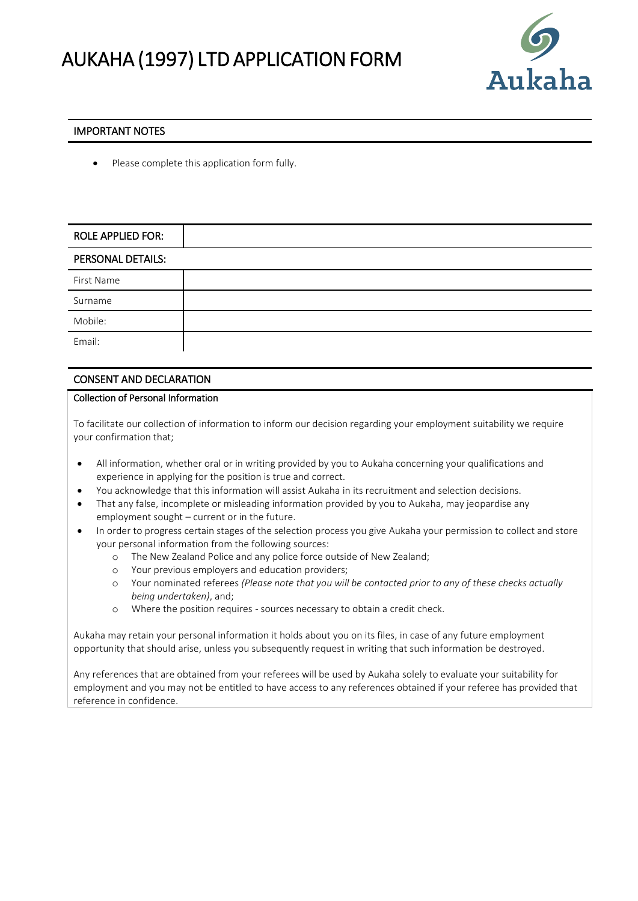

## IMPORTANT NOTES

Please complete this application form fully.

| <b>ROLE APPLIED FOR:</b> |  |
|--------------------------|--|
| PERSONAL DETAILS:        |  |
| First Name               |  |
| Surname                  |  |
| Mobile:                  |  |
| Email:                   |  |

## CONSENT AND DECLARATION

## Collection of Personal Information

To facilitate our collection of information to inform our decision regarding your employment suitability we require your confirmation that;

- All information, whether oral or in writing provided by you to Aukaha concerning your qualifications and experience in applying for the position is true and correct.
- You acknowledge that this information will assist Aukaha in its recruitment and selection decisions.
- That any false, incomplete or misleading information provided by you to Aukaha, may jeopardise any employment sought – current or in the future.
- In order to progress certain stages of the selection process you give Aukaha your permission to collect and store your personal information from the following sources:
	- o The New Zealand Police and any police force outside of New Zealand;
	- o Your previous employers and education providers;
	- o Your nominated referees *(Please note that you will be contacted prior to any of these checks actually being undertaken)*, and;
	- o Where the position requires sources necessary to obtain a credit check.

Aukaha may retain your personal information it holds about you on its files, in case of any future employment opportunity that should arise, unless you subsequently request in writing that such information be destroyed.

Any references that are obtained from your referees will be used by Aukaha solely to evaluate your suitability for employment and you may not be entitled to have access to any references obtained if your referee has provided that reference in confidence.